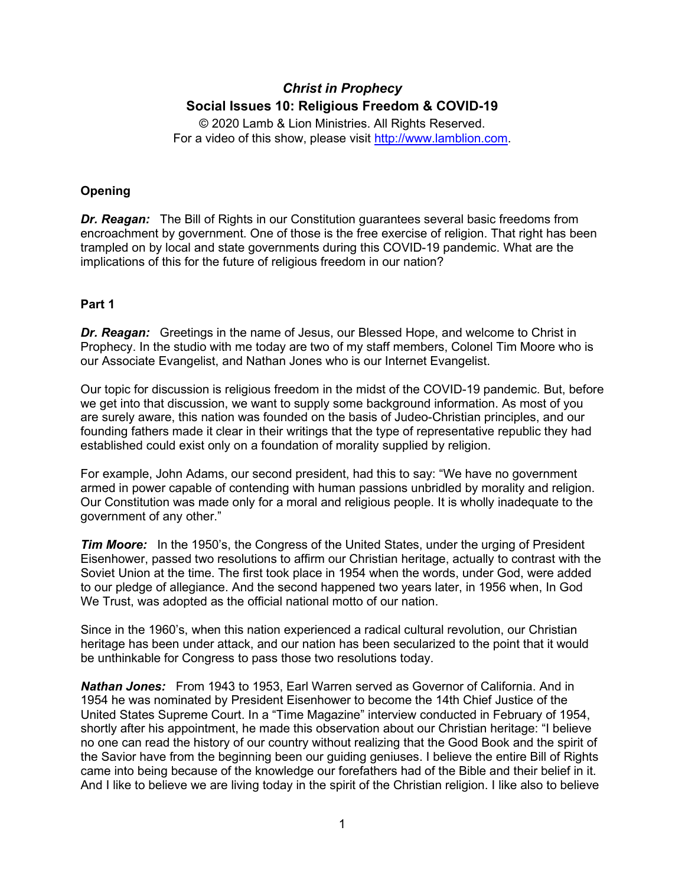# *Christ in Prophecy* **Social Issues 10: Religious Freedom & COVID-19**

© 2020 Lamb & Lion Ministries. All Rights Reserved. For a video of this show, please visit [http://www.lamblion.com.](http://www.lamblion.com/)

## **Opening**

*Dr. Reagan:* The Bill of Rights in our Constitution guarantees several basic freedoms from encroachment by government. One of those is the free exercise of religion. That right has been trampled on by local and state governments during this COVID-19 pandemic. What are the implications of this for the future of religious freedom in our nation?

## **Part 1**

*Dr. Reagan:* Greetings in the name of Jesus, our Blessed Hope, and welcome to Christ in Prophecy. In the studio with me today are two of my staff members, Colonel Tim Moore who is our Associate Evangelist, and Nathan Jones who is our Internet Evangelist.

Our topic for discussion is religious freedom in the midst of the COVID-19 pandemic. But, before we get into that discussion, we want to supply some background information. As most of you are surely aware, this nation was founded on the basis of Judeo-Christian principles, and our founding fathers made it clear in their writings that the type of representative republic they had established could exist only on a foundation of morality supplied by religion.

For example, John Adams, our second president, had this to say: "We have no government armed in power capable of contending with human passions unbridled by morality and religion. Our Constitution was made only for a moral and religious people. It is wholly inadequate to the government of any other."

*Tim Moore:* In the 1950's, the Congress of the United States, under the urging of President Eisenhower, passed two resolutions to affirm our Christian heritage, actually to contrast with the Soviet Union at the time. The first took place in 1954 when the words, under God, were added to our pledge of allegiance. And the second happened two years later, in 1956 when, In God We Trust, was adopted as the official national motto of our nation.

Since in the 1960's, when this nation experienced a radical cultural revolution, our Christian heritage has been under attack, and our nation has been secularized to the point that it would be unthinkable for Congress to pass those two resolutions today.

*Nathan Jones:* From 1943 to 1953, Earl Warren served as Governor of California. And in 1954 he was nominated by President Eisenhower to become the 14th Chief Justice of the United States Supreme Court. In a "Time Magazine" interview conducted in February of 1954, shortly after his appointment, he made this observation about our Christian heritage: "I believe no one can read the history of our country without realizing that the Good Book and the spirit of the Savior have from the beginning been our guiding geniuses. I believe the entire Bill of Rights came into being because of the knowledge our forefathers had of the Bible and their belief in it. And I like to believe we are living today in the spirit of the Christian religion. I like also to believe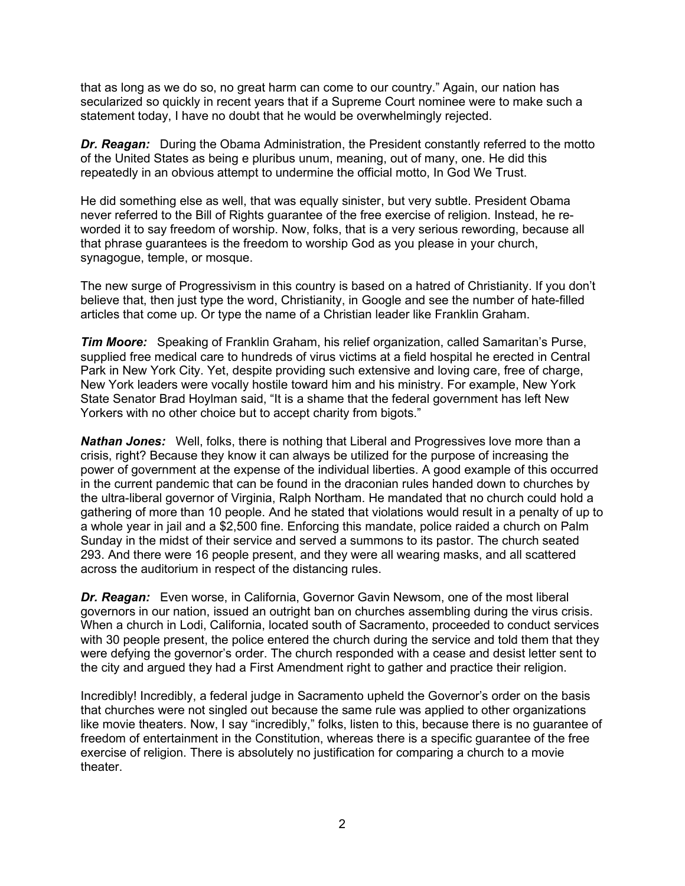that as long as we do so, no great harm can come to our country." Again, our nation has secularized so quickly in recent years that if a Supreme Court nominee were to make such a statement today, I have no doubt that he would be overwhelmingly rejected.

*Dr. Reagan:* During the Obama Administration, the President constantly referred to the motto of the United States as being e pluribus unum, meaning, out of many, one. He did this repeatedly in an obvious attempt to undermine the official motto, In God We Trust.

He did something else as well, that was equally sinister, but very subtle. President Obama never referred to the Bill of Rights guarantee of the free exercise of religion. Instead, he reworded it to say freedom of worship. Now, folks, that is a very serious rewording, because all that phrase guarantees is the freedom to worship God as you please in your church, synagogue, temple, or mosque.

The new surge of Progressivism in this country is based on a hatred of Christianity. If you don't believe that, then just type the word, Christianity, in Google and see the number of hate-filled articles that come up. Or type the name of a Christian leader like Franklin Graham.

*Tim Moore:* Speaking of Franklin Graham, his relief organization, called Samaritan's Purse, supplied free medical care to hundreds of virus victims at a field hospital he erected in Central Park in New York City. Yet, despite providing such extensive and loving care, free of charge, New York leaders were vocally hostile toward him and his ministry. For example, New York State Senator Brad Hoylman said, "It is a shame that the federal government has left New Yorkers with no other choice but to accept charity from bigots."

*Nathan Jones:* Well, folks, there is nothing that Liberal and Progressives love more than a crisis, right? Because they know it can always be utilized for the purpose of increasing the power of government at the expense of the individual liberties. A good example of this occurred in the current pandemic that can be found in the draconian rules handed down to churches by the ultra-liberal governor of Virginia, Ralph Northam. He mandated that no church could hold a gathering of more than 10 people. And he stated that violations would result in a penalty of up to a whole year in jail and a \$2,500 fine. Enforcing this mandate, police raided a church on Palm Sunday in the midst of their service and served a summons to its pastor. The church seated 293. And there were 16 people present, and they were all wearing masks, and all scattered across the auditorium in respect of the distancing rules.

*Dr. Reagan:* Even worse, in California, Governor Gavin Newsom, one of the most liberal governors in our nation, issued an outright ban on churches assembling during the virus crisis. When a church in Lodi, California, located south of Sacramento, proceeded to conduct services with 30 people present, the police entered the church during the service and told them that they were defying the governor's order. The church responded with a cease and desist letter sent to the city and argued they had a First Amendment right to gather and practice their religion.

Incredibly! Incredibly, a federal judge in Sacramento upheld the Governor's order on the basis that churches were not singled out because the same rule was applied to other organizations like movie theaters. Now, I say "incredibly," folks, listen to this, because there is no guarantee of freedom of entertainment in the Constitution, whereas there is a specific guarantee of the free exercise of religion. There is absolutely no justification for comparing a church to a movie theater.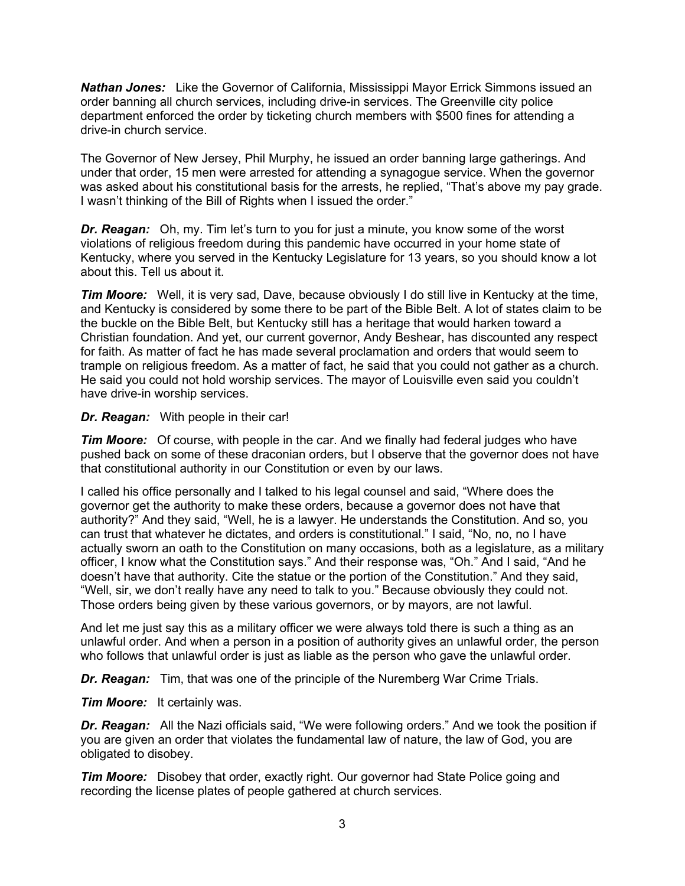*Nathan Jones:* Like the Governor of California, Mississippi Mayor Errick Simmons issued an order banning all church services, including drive-in services. The Greenville city police department enforced the order by ticketing church members with \$500 fines for attending a drive-in church service.

The Governor of New Jersey, Phil Murphy, he issued an order banning large gatherings. And under that order, 15 men were arrested for attending a synagogue service. When the governor was asked about his constitutional basis for the arrests, he replied, "That's above my pay grade. I wasn't thinking of the Bill of Rights when I issued the order."

*Dr. Reagan:* Oh, my. Tim let's turn to you for just a minute, you know some of the worst violations of religious freedom during this pandemic have occurred in your home state of Kentucky, where you served in the Kentucky Legislature for 13 years, so you should know a lot about this. Tell us about it.

*Tim Moore:* Well, it is very sad, Dave, because obviously I do still live in Kentucky at the time, and Kentucky is considered by some there to be part of the Bible Belt. A lot of states claim to be the buckle on the Bible Belt, but Kentucky still has a heritage that would harken toward a Christian foundation. And yet, our current governor, Andy Beshear, has discounted any respect for faith. As matter of fact he has made several proclamation and orders that would seem to trample on religious freedom. As a matter of fact, he said that you could not gather as a church. He said you could not hold worship services. The mayor of Louisville even said you couldn't have drive-in worship services.

#### *Dr. Reagan:* With people in their car!

*Tim Moore:* Of course, with people in the car. And we finally had federal judges who have pushed back on some of these draconian orders, but I observe that the governor does not have that constitutional authority in our Constitution or even by our laws.

I called his office personally and I talked to his legal counsel and said, "Where does the governor get the authority to make these orders, because a governor does not have that authority?" And they said, "Well, he is a lawyer. He understands the Constitution. And so, you can trust that whatever he dictates, and orders is constitutional." I said, "No, no, no I have actually sworn an oath to the Constitution on many occasions, both as a legislature, as a military officer, I know what the Constitution says." And their response was, "Oh." And I said, "And he doesn't have that authority. Cite the statue or the portion of the Constitution." And they said, "Well, sir, we don't really have any need to talk to you." Because obviously they could not. Those orders being given by these various governors, or by mayors, are not lawful.

And let me just say this as a military officer we were always told there is such a thing as an unlawful order. And when a person in a position of authority gives an unlawful order, the person who follows that unlawful order is just as liable as the person who gave the unlawful order.

*Dr. Reagan:* Tim, that was one of the principle of the Nuremberg War Crime Trials.

*Tim Moore:* It certainly was.

*Dr. Reagan:* All the Nazi officials said, "We were following orders." And we took the position if you are given an order that violates the fundamental law of nature, the law of God, you are obligated to disobey.

*Tim Moore:* Disobey that order, exactly right. Our governor had State Police going and recording the license plates of people gathered at church services.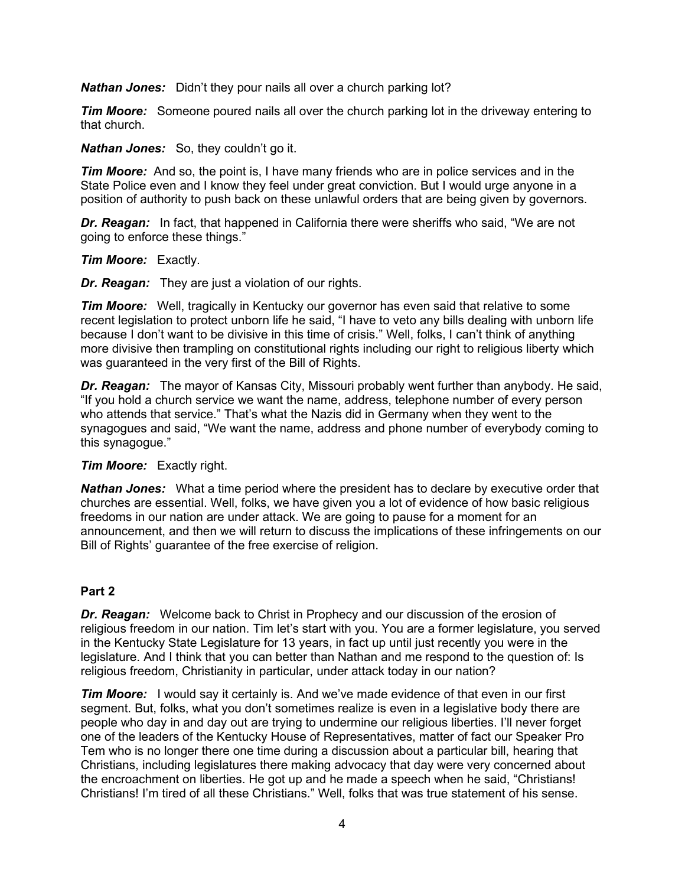*Nathan Jones:* Didn't they pour nails all over a church parking lot?

*Tim Moore:* Someone poured nails all over the church parking lot in the driveway entering to that church.

*Nathan Jones:* So, they couldn't go it.

*Tim Moore:* And so, the point is, I have many friends who are in police services and in the State Police even and I know they feel under great conviction. But I would urge anyone in a position of authority to push back on these unlawful orders that are being given by governors.

*Dr. Reagan:* In fact, that happened in California there were sheriffs who said, "We are not going to enforce these things."

#### *Tim Moore:* Exactly.

*Dr. Reagan:* They are just a violation of our rights.

*Tim Moore:* Well, tragically in Kentucky our governor has even said that relative to some recent legislation to protect unborn life he said, "I have to veto any bills dealing with unborn life because I don't want to be divisive in this time of crisis." Well, folks, I can't think of anything more divisive then trampling on constitutional rights including our right to religious liberty which was guaranteed in the very first of the Bill of Rights.

*Dr. Reagan:* The mayor of Kansas City, Missouri probably went further than anybody. He said, "If you hold a church service we want the name, address, telephone number of every person who attends that service." That's what the Nazis did in Germany when they went to the synagogues and said, "We want the name, address and phone number of everybody coming to this synagogue."

## *Tim Moore:* Exactly right.

*Nathan Jones:* What a time period where the president has to declare by executive order that churches are essential. Well, folks, we have given you a lot of evidence of how basic religious freedoms in our nation are under attack. We are going to pause for a moment for an announcement, and then we will return to discuss the implications of these infringements on our Bill of Rights' guarantee of the free exercise of religion.

## **Part 2**

*Dr. Reagan:* Welcome back to Christ in Prophecy and our discussion of the erosion of religious freedom in our nation. Tim let's start with you. You are a former legislature, you served in the Kentucky State Legislature for 13 years, in fact up until just recently you were in the legislature. And I think that you can better than Nathan and me respond to the question of: Is religious freedom, Christianity in particular, under attack today in our nation?

*Tim Moore:* I would say it certainly is. And we've made evidence of that even in our first segment. But, folks, what you don't sometimes realize is even in a legislative body there are people who day in and day out are trying to undermine our religious liberties. I'll never forget one of the leaders of the Kentucky House of Representatives, matter of fact our Speaker Pro Tem who is no longer there one time during a discussion about a particular bill, hearing that Christians, including legislatures there making advocacy that day were very concerned about the encroachment on liberties. He got up and he made a speech when he said, "Christians! Christians! I'm tired of all these Christians." Well, folks that was true statement of his sense.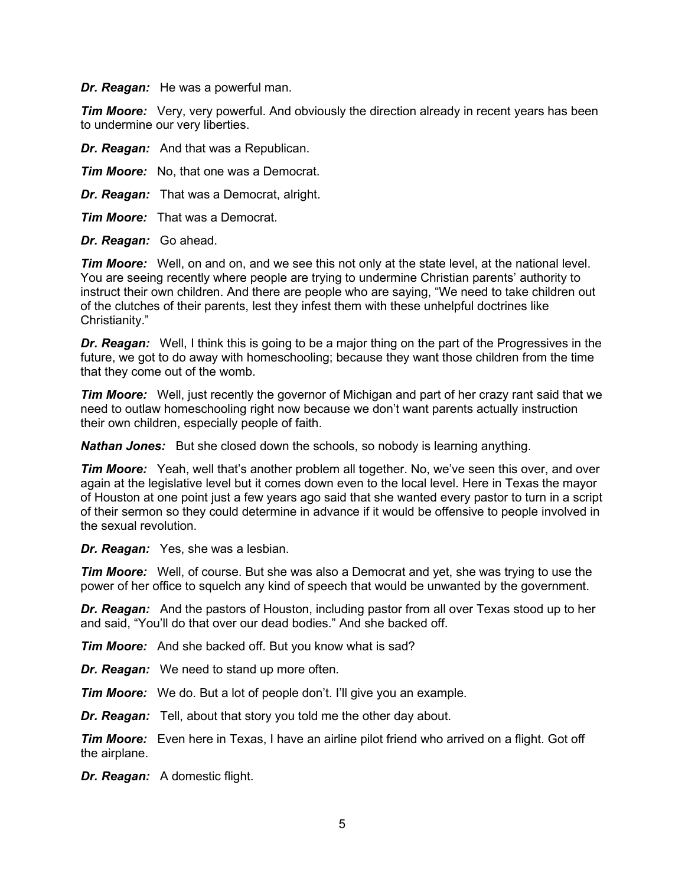*Dr. Reagan:* He was a powerful man.

*Tim Moore:* Very, very powerful. And obviously the direction already in recent years has been to undermine our very liberties.

*Dr. Reagan:* And that was a Republican.

*Tim Moore:* No, that one was a Democrat.

*Dr. Reagan:* That was a Democrat, alright.

*Tim Moore:* That was a Democrat.

*Dr. Reagan:* Go ahead.

*Tim Moore:* Well, on and on, and we see this not only at the state level, at the national level. You are seeing recently where people are trying to undermine Christian parents' authority to instruct their own children. And there are people who are saying, "We need to take children out of the clutches of their parents, lest they infest them with these unhelpful doctrines like Christianity."

*Dr. Reagan:* Well, I think this is going to be a major thing on the part of the Progressives in the future, we got to do away with homeschooling; because they want those children from the time that they come out of the womb.

*Tim Moore:* Well, just recently the governor of Michigan and part of her crazy rant said that we need to outlaw homeschooling right now because we don't want parents actually instruction their own children, especially people of faith.

*Nathan Jones:* But she closed down the schools, so nobody is learning anything.

*Tim Moore:* Yeah, well that's another problem all together. No, we've seen this over, and over again at the legislative level but it comes down even to the local level. Here in Texas the mayor of Houston at one point just a few years ago said that she wanted every pastor to turn in a script of their sermon so they could determine in advance if it would be offensive to people involved in the sexual revolution.

*Dr. Reagan:* Yes, she was a lesbian.

*Tim Moore:* Well, of course. But she was also a Democrat and yet, she was trying to use the power of her office to squelch any kind of speech that would be unwanted by the government.

**Dr. Reagan:** And the pastors of Houston, including pastor from all over Texas stood up to her and said, "You'll do that over our dead bodies." And she backed off.

*Tim Moore:* And she backed off. But you know what is sad?

*Dr. Reagan:* We need to stand up more often.

*Tim Moore:* We do. But a lot of people don't. I'll give you an example.

*Dr. Reagan:* Tell, about that story you told me the other day about.

*Tim Moore:* Even here in Texas, I have an airline pilot friend who arrived on a flight. Got off the airplane.

*Dr. Reagan:* A domestic flight.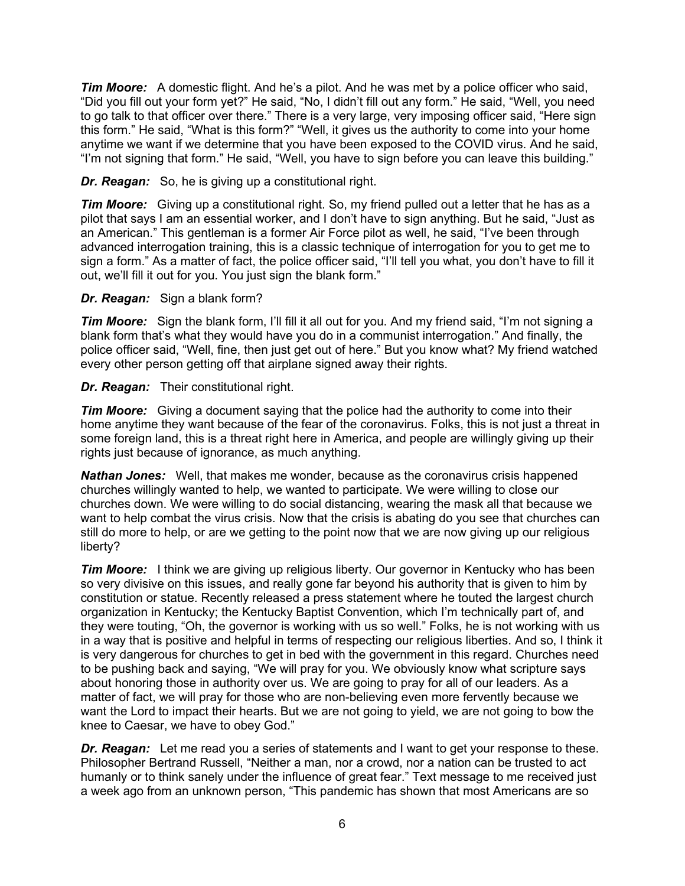*Tim Moore:* A domestic flight. And he's a pilot. And he was met by a police officer who said, "Did you fill out your form yet?" He said, "No, I didn't fill out any form." He said, "Well, you need to go talk to that officer over there." There is a very large, very imposing officer said, "Here sign this form." He said, "What is this form?" "Well, it gives us the authority to come into your home anytime we want if we determine that you have been exposed to the COVID virus. And he said, "I'm not signing that form." He said, "Well, you have to sign before you can leave this building."

### *Dr. Reagan:* So, he is giving up a constitutional right.

*Tim Moore:* Giving up a constitutional right. So, my friend pulled out a letter that he has as a pilot that says I am an essential worker, and I don't have to sign anything. But he said, "Just as an American." This gentleman is a former Air Force pilot as well, he said, "I've been through advanced interrogation training, this is a classic technique of interrogation for you to get me to sign a form." As a matter of fact, the police officer said, "I'll tell you what, you don't have to fill it out, we'll fill it out for you. You just sign the blank form."

#### *Dr. Reagan:* Sign a blank form?

*Tim Moore:* Sign the blank form, I'll fill it all out for you. And my friend said, "I'm not signing a blank form that's what they would have you do in a communist interrogation." And finally, the police officer said, "Well, fine, then just get out of here." But you know what? My friend watched every other person getting off that airplane signed away their rights.

#### *Dr. Reagan:* Their constitutional right.

*Tim Moore:* Giving a document saying that the police had the authority to come into their home anytime they want because of the fear of the coronavirus. Folks, this is not just a threat in some foreign land, this is a threat right here in America, and people are willingly giving up their rights just because of ignorance, as much anything.

*Nathan Jones:* Well, that makes me wonder, because as the coronavirus crisis happened churches willingly wanted to help, we wanted to participate. We were willing to close our churches down. We were willing to do social distancing, wearing the mask all that because we want to help combat the virus crisis. Now that the crisis is abating do you see that churches can still do more to help, or are we getting to the point now that we are now giving up our religious liberty?

*Tim Moore:* I think we are giving up religious liberty. Our governor in Kentucky who has been so very divisive on this issues, and really gone far beyond his authority that is given to him by constitution or statue. Recently released a press statement where he touted the largest church organization in Kentucky; the Kentucky Baptist Convention, which I'm technically part of, and they were touting, "Oh, the governor is working with us so well." Folks, he is not working with us in a way that is positive and helpful in terms of respecting our religious liberties. And so, I think it is very dangerous for churches to get in bed with the government in this regard. Churches need to be pushing back and saying, "We will pray for you. We obviously know what scripture says about honoring those in authority over us. We are going to pray for all of our leaders. As a matter of fact, we will pray for those who are non-believing even more fervently because we want the Lord to impact their hearts. But we are not going to yield, we are not going to bow the knee to Caesar, we have to obey God."

*Dr. Reagan:* Let me read you a series of statements and I want to get your response to these. Philosopher Bertrand Russell, "Neither a man, nor a crowd, nor a nation can be trusted to act humanly or to think sanely under the influence of great fear." Text message to me received just a week ago from an unknown person, "This pandemic has shown that most Americans are so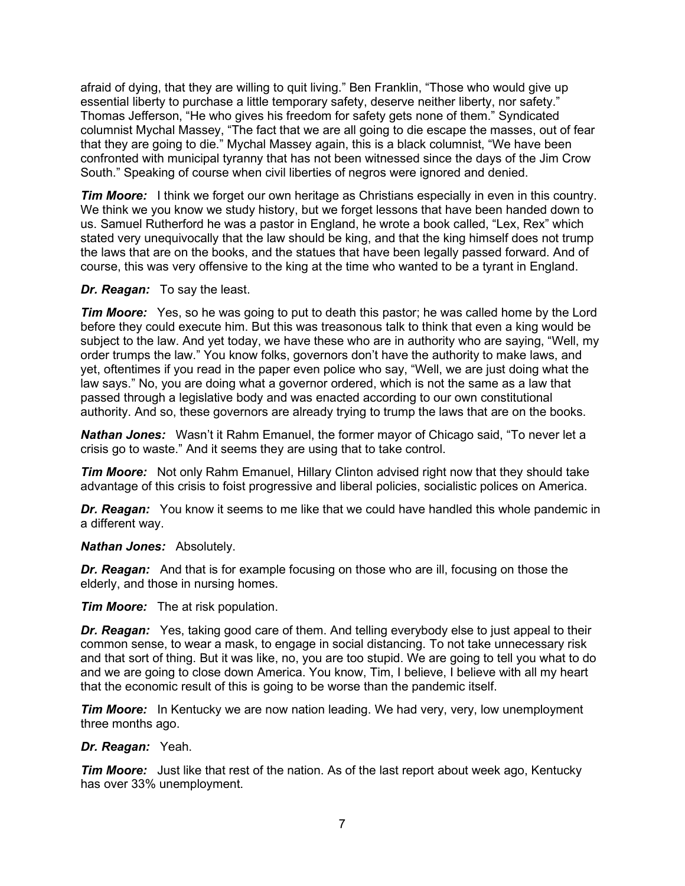afraid of dying, that they are willing to quit living." Ben Franklin, "Those who would give up essential liberty to purchase a little temporary safety, deserve neither liberty, nor safety." Thomas Jefferson, "He who gives his freedom for safety gets none of them." Syndicated columnist Mychal Massey, "The fact that we are all going to die escape the masses, out of fear that they are going to die." Mychal Massey again, this is a black columnist, "We have been confronted with municipal tyranny that has not been witnessed since the days of the Jim Crow South." Speaking of course when civil liberties of negros were ignored and denied.

*Tim Moore:* I think we forget our own heritage as Christians especially in even in this country. We think we you know we study history, but we forget lessons that have been handed down to us. Samuel Rutherford he was a pastor in England, he wrote a book called, "Lex, Rex" which stated very unequivocally that the law should be king, and that the king himself does not trump the laws that are on the books, and the statues that have been legally passed forward. And of course, this was very offensive to the king at the time who wanted to be a tyrant in England.

#### *Dr. Reagan:* To say the least.

*Tim Moore:* Yes, so he was going to put to death this pastor; he was called home by the Lord before they could execute him. But this was treasonous talk to think that even a king would be subject to the law. And yet today, we have these who are in authority who are saying, "Well, my order trumps the law." You know folks, governors don't have the authority to make laws, and yet, oftentimes if you read in the paper even police who say, "Well, we are just doing what the law says." No, you are doing what a governor ordered, which is not the same as a law that passed through a legislative body and was enacted according to our own constitutional authority. And so, these governors are already trying to trump the laws that are on the books.

*Nathan Jones:* Wasn't it Rahm Emanuel, the former mayor of Chicago said, "To never let a crisis go to waste." And it seems they are using that to take control.

*Tim Moore:* Not only Rahm Emanuel, Hillary Clinton advised right now that they should take advantage of this crisis to foist progressive and liberal policies, socialistic polices on America.

*Dr. Reagan:* You know it seems to me like that we could have handled this whole pandemic in a different way.

#### *Nathan Jones:* Absolutely.

*Dr. Reagan:* And that is for example focusing on those who are ill, focusing on those the elderly, and those in nursing homes.

*Tim Moore:* The at risk population.

*Dr. Reagan:* Yes, taking good care of them. And telling everybody else to just appeal to their common sense, to wear a mask, to engage in social distancing. To not take unnecessary risk and that sort of thing. But it was like, no, you are too stupid. We are going to tell you what to do and we are going to close down America. You know, Tim, I believe, I believe with all my heart that the economic result of this is going to be worse than the pandemic itself.

*Tim Moore:* In Kentucky we are now nation leading. We had very, very, low unemployment three months ago.

#### *Dr. Reagan:* Yeah.

*Tim Moore:* Just like that rest of the nation. As of the last report about week ago, Kentucky has over 33% unemployment.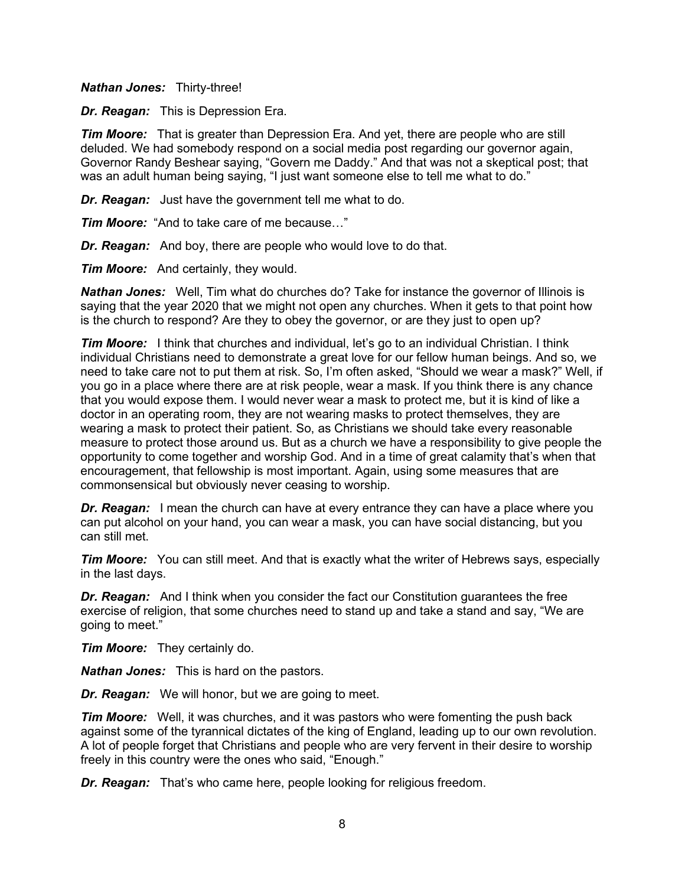#### *Nathan Jones:* Thirty-three!

*Dr. Reagan:* This is Depression Era.

*Tim Moore:* That is greater than Depression Era. And yet, there are people who are still deluded. We had somebody respond on a social media post regarding our governor again, Governor Randy Beshear saying, "Govern me Daddy." And that was not a skeptical post; that was an adult human being saying, "I just want someone else to tell me what to do."

*Dr. Reagan:* Just have the government tell me what to do.

*Tim Moore:* "And to take care of me because…"

*Dr. Reagan:* And boy, there are people who would love to do that.

*Tim Moore:* And certainly, they would.

*Nathan Jones:* Well, Tim what do churches do? Take for instance the governor of Illinois is saying that the year 2020 that we might not open any churches. When it gets to that point how is the church to respond? Are they to obey the governor, or are they just to open up?

*Tim Moore:* I think that churches and individual, let's go to an individual Christian. I think individual Christians need to demonstrate a great love for our fellow human beings. And so, we need to take care not to put them at risk. So, I'm often asked, "Should we wear a mask?" Well, if you go in a place where there are at risk people, wear a mask. If you think there is any chance that you would expose them. I would never wear a mask to protect me, but it is kind of like a doctor in an operating room, they are not wearing masks to protect themselves, they are wearing a mask to protect their patient. So, as Christians we should take every reasonable measure to protect those around us. But as a church we have a responsibility to give people the opportunity to come together and worship God. And in a time of great calamity that's when that encouragement, that fellowship is most important. Again, using some measures that are commonsensical but obviously never ceasing to worship.

*Dr. Reagan:* I mean the church can have at every entrance they can have a place where you can put alcohol on your hand, you can wear a mask, you can have social distancing, but you can still met.

**Tim Moore:** You can still meet. And that is exactly what the writer of Hebrews says, especially in the last days.

*Dr. Reagan:* And I think when you consider the fact our Constitution guarantees the free exercise of religion, that some churches need to stand up and take a stand and say, "We are going to meet."

*Tim Moore:* They certainly do.

*Nathan Jones:* This is hard on the pastors.

*Dr. Reagan:* We will honor, but we are going to meet.

*Tim Moore:* Well, it was churches, and it was pastors who were fomenting the push back against some of the tyrannical dictates of the king of England, leading up to our own revolution. A lot of people forget that Christians and people who are very fervent in their desire to worship freely in this country were the ones who said, "Enough."

*Dr. Reagan:* That's who came here, people looking for religious freedom.